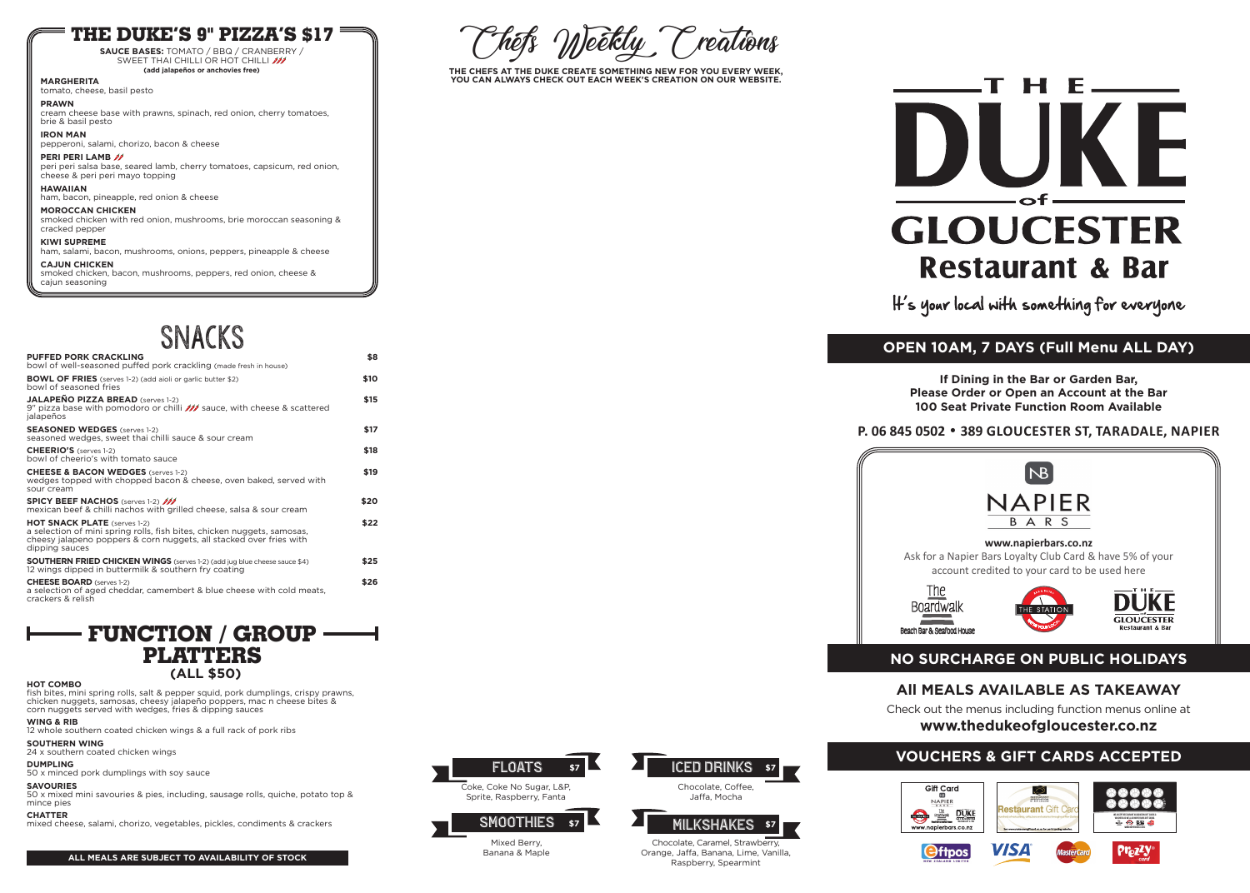## **All MEALS AVAILABLE AS TAKEAWAY**

Check out the menus including function menus online at **www.thedukeofgloucester.co.nz**

## **www.napierbars.co.nz**

Ask for a Napier Bars Loyalty Club Card & have 5% of your account credited to your card to be used here









## **NO SURCHARGE ON PUBLIC HOLIDAYS**

**If Dining in the Bar or Garden Bar, Please Order or Open an Account at the Bar 100 Seat Private Function Room Available**

**P. 06 845 0502** • **389 GLOUCESTER ST, TARADALE, NAPIER**





**THE CHEFS AT THE DUKE CREATE SOMETHING NEW FOR YOU EVERY WEEK, YOU CAN ALWAYS CHECK OUT EACH WEEK'S CREATION ON OUR WEBSITE.**



It's your local with something for everyone

# **OPEN 10AM, 7 DAYS (Full Menu ALL DAY)**

## **THE DUKE'S 9" PIZZA'S \$17**

**SAUCE BASES:** TOMATO / BBQ / CRANBERRY / SWEET THAI CHILLI OR HOT CHILLI **(add jalapeños or anchovies free)**

**MARGHERITA** tomato, cheese, basil pesto

**PRAWN**

cream cheese base with prawns, spinach, red onion, cherry tomatoes, brie & basil pesto

**IRON MAN**

pepperoni, salami, chorizo, bacon & cheese

## **PERI PERI LAMB**

peri peri salsa base, seared lamb, cherry tomatoes, capsicum, red onion, cheese & peri peri mayo topping

## **HAWAIIAN**

ham, bacon, pineapple, red onion & cheese

## **MOROCCAN CHICKEN**

smoked chicken with red onion, mushrooms, brie moroccan seasoning & cracked pepper

## **KIWI SUPREME**

ham, salami, bacon, mushrooms, onions, peppers, pineapple & cheese **CAJUN CHICKEN** 

smoked chicken, bacon, mushrooms, peppers, red onion, cheese & cajun seasoning

> Chocolate, Caramel, Strawberry, Orange, Jaffa, Banana, Lime, Vanilla,

Raspberry, Spearmint

# H E\_\_\_ DUI  $\overline{\phantom{a}}$ **GLOUCESTER Restaurant & Bar**

Coke, Coke No Sugar, L&P, Sprite, Raspberry, Fanta



Mixed Berry, Banana & Maple



SMOOTHIES \$7 MILKSHAKES \$7



# ICED DRINKS **\$7**

## **VOUCHERS & GIFT CARDS ACCEPTED**



| <b>PUFFED PORK CRACKLING</b><br>bowl of well-seasoned puffed pork crackling (made fresh in house)                                                                                                       | \$8  |
|---------------------------------------------------------------------------------------------------------------------------------------------------------------------------------------------------------|------|
| <b>BOWL OF FRIES</b> (serves 1-2) (add aioli or garlic butter \$2)<br>bowl of seasoned fries                                                                                                            | \$10 |
| <b>JALAPEÑO PIZZA BREAD</b> (serves 1-2)<br>9" pizza base with pomodoro or chilli <b>///</b> sauce, with cheese & scattered<br>jalapeños                                                                | \$15 |
| <b>SEASONED WEDGES</b> (serves 1-2)<br>seasoned wedges, sweet thai chilli sauce & sour cream                                                                                                            | \$17 |
| <b>CHEERIO'S</b> (serves 1-2)<br>bowl of cheerio's with tomato sauce                                                                                                                                    | \$18 |
| <b>CHEESE &amp; BACON WEDGES</b> (serves 1-2)<br>wedges topped with chopped bacon & cheese, oven baked, served with<br>sour cream                                                                       | \$19 |
| <b>SPICY BEEF NACHOS</b> (serves 1-2) ///<br>mexican beef & chilli nachos with grilled cheese, salsa & sour cream                                                                                       | \$20 |
| <b>HOT SNACK PLATE</b> (serves 1-2)<br>a selection of mini spring rolls, fish bites, chicken nuggets, samosas,<br>cheesy jalapeno poppers & corn nuggets, all stacked over fries with<br>dipping sauces | \$22 |
| <b>SOUTHERN FRIED CHICKEN WINGS</b> (serves 1-2) (add jug blue cheese sauce \$4)<br>12 wings dipped in buttermilk & southern fry coating                                                                | \$25 |
| <b>CHEESE BOARD</b> (serves 1-2)<br>a selection of aged cheddar, camembert & blue cheese with cold meats,<br>crackers & relish                                                                          | \$26 |
|                                                                                                                                                                                                         |      |

# SNACKS











### **HOT COMBO**

fish bites, mini spring rolls, salt & pepper squid, pork dumplings, crispy prawns, chicken nuggets, samosas, cheesy jalapeño poppers, mac n cheese bites & corn nuggets served with wedges, fries & dipping sauces

### **WING & RIB**

12 whole southern coated chicken wings & a full rack of pork ribs

**SOUTHERN WING** 24 x southern coated chicken wings

### **DUMPLING**

50 x minced pork dumplings with soy sauce

## **SAVOURIES**

50 x mixed mini savouries & pies, including, sausage rolls, quiche, potato top & mince pies

## **CHATTER**

mixed cheese, salami, chorizo, vegetables, pickles, condiments & crackers